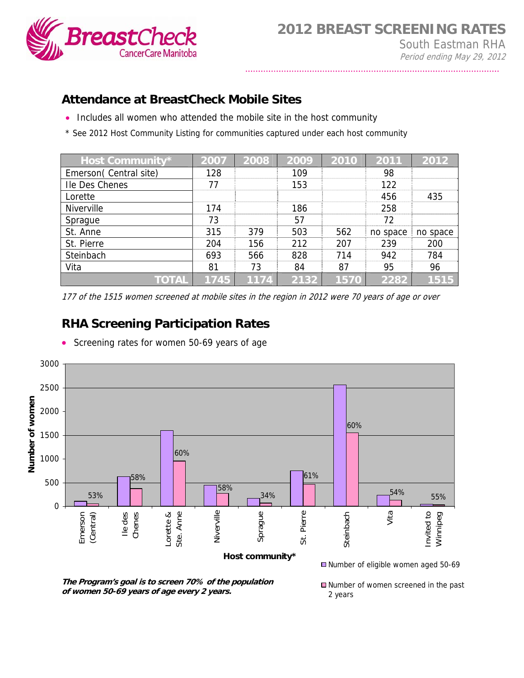

## **Attendance at BreastCheck Mobile Sites**

- Includes all women who attended the mobile site in the host community
- \* See 2012 Host Community Listing for communities captured under each host community

| Host Community*       | 2007 | 2008 | 2009 | 2010 | 2011     | 2012     |
|-----------------------|------|------|------|------|----------|----------|
| Emerson(Central site) | 128  |      | 109  |      | 98       |          |
| Ile Des Chenes        | 77   |      | 153  |      | 122      |          |
| Lorette               |      |      |      |      | 456      | 435      |
| <b>Niverville</b>     | 174  |      | 186  |      | 258      |          |
| Sprague               | 73   |      | 57   |      | 72       |          |
| St. Anne              | 315  | 379  | 503  | 562  | no space | no space |
| St. Pierre            | 204  | 156  | 212  | 207  | 239      | 200      |
| Steinbach             | 693  | 566  | 828  | 714  | 942      | 784      |
| Vita                  | 81   | 73   | 84   | 87   | 95       | 96       |
| TOTAL                 | 1745 | 1174 | 2132 | 1570 | 2282     | 1515     |

177 of the 1515 women screened at mobile sites in the region in 2012 were 70 years of age or over

## **RHA Screening Participation Rates**

• Screening rates for women 50-69 years of age